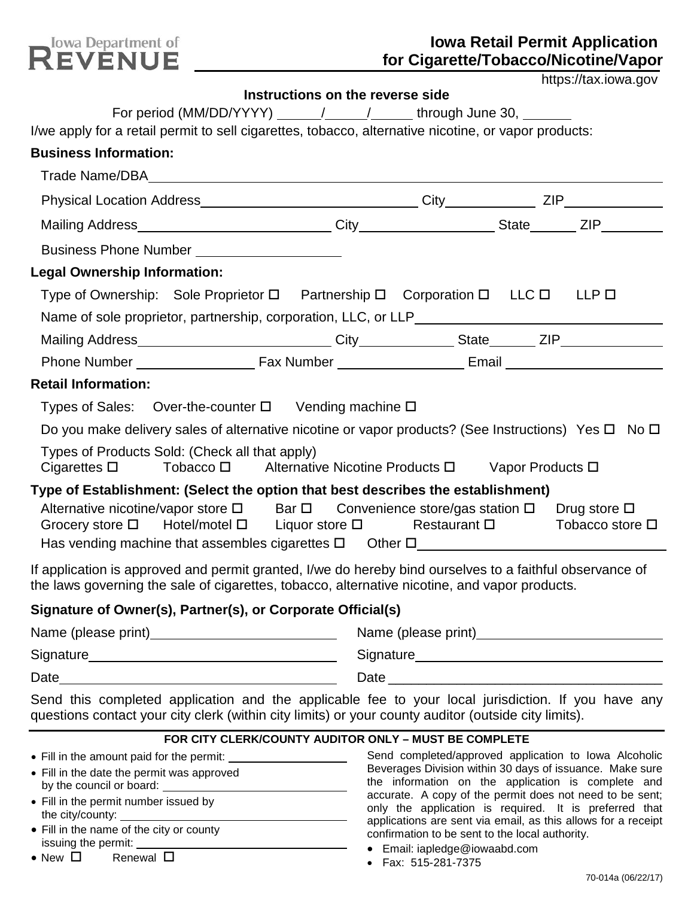

# **Iowa Retail Permit Application for Cigarette/Tobacco/Nicotine/Vapor**

| https://tax.iowa.gov |
|----------------------|
|----------------------|

|                                                                                                                                                                                                                                                                                                                 | Instructions on the reverse side |                                            |
|-----------------------------------------------------------------------------------------------------------------------------------------------------------------------------------------------------------------------------------------------------------------------------------------------------------------|----------------------------------|--------------------------------------------|
| For period (MM/DD/YYYY) ______/ _____/ ______through June 30, ______                                                                                                                                                                                                                                            |                                  |                                            |
| I/we apply for a retail permit to sell cigarettes, tobacco, alternative nicotine, or vapor products:<br><b>Business Information:</b>                                                                                                                                                                            |                                  |                                            |
|                                                                                                                                                                                                                                                                                                                 |                                  |                                            |
|                                                                                                                                                                                                                                                                                                                 |                                  |                                            |
|                                                                                                                                                                                                                                                                                                                 |                                  |                                            |
|                                                                                                                                                                                                                                                                                                                 |                                  |                                            |
| Business Phone Number ______________________                                                                                                                                                                                                                                                                    |                                  |                                            |
| <b>Legal Ownership Information:</b>                                                                                                                                                                                                                                                                             |                                  |                                            |
| Type of Ownership: Sole Proprietor $\square$ Partnership $\square$ Corporation $\square$ LLC $\square$ LLP $\square$                                                                                                                                                                                            |                                  |                                            |
| Name of sole proprietor, partnership, corporation, LLC, or LLP___________________                                                                                                                                                                                                                               |                                  |                                            |
|                                                                                                                                                                                                                                                                                                                 |                                  |                                            |
|                                                                                                                                                                                                                                                                                                                 |                                  |                                            |
| <b>Retail Information:</b>                                                                                                                                                                                                                                                                                      |                                  |                                            |
| Types of Sales: Over-the-counter $\square$ Vending machine $\square$                                                                                                                                                                                                                                            |                                  |                                            |
| Do you make delivery sales of alternative nicotine or vapor products? (See Instructions) Yes $\square$ No $\square$                                                                                                                                                                                             |                                  |                                            |
| Types of Products Sold: (Check all that apply)<br>Cigarettes □ Tobacco □ Alternative Nicotine Products □ Vapor Products □                                                                                                                                                                                       |                                  |                                            |
| Type of Establishment: (Select the option that best describes the establishment)<br>Alternative nicotine/vapor store $\square$ Bar $\square$ Convenience store/gas station $\square$ Drug store $\square$<br>Grocery store $\Box$ Hotel/motel $\Box$ Liquor store $\Box$ Restaurant $\Box$ Tobacco store $\Box$ |                                  |                                            |
| If application is approved and permit granted, I/we do hereby bind ourselves to a faithful observance of<br>the laws governing the sale of cigarettes, tobacco, alternative nicotine, and vapor products.                                                                                                       |                                  |                                            |
| Signature of Owner(s), Partner(s), or Corporate Official(s)                                                                                                                                                                                                                                                     |                                  |                                            |
|                                                                                                                                                                                                                                                                                                                 |                                  | Name (please print)<br>Name (please print) |
|                                                                                                                                                                                                                                                                                                                 |                                  |                                            |
|                                                                                                                                                                                                                                                                                                                 |                                  |                                            |
| Send this completed application and the applicable fee to your local jurisdiction. If you have any<br>questions contact your city clerk (within city limits) or your county auditor (outside city limits).                                                                                                      |                                  |                                            |

#### **FOR CITY CLERK/COUNTY AUDITOR ONLY – MUST BE COMPLETE**

- Fill in the amount paid for the permit:
- Fill in the date the permit was approved by the council or board:
- Fill in the permit number issued by the city/county:
- Fill in the name of the city or county issuing the permit:
- New  $\Box$  Renewal  $\Box$

Send completed/approved application to Iowa Alcoholic Beverages Division within 30 days of issuance. Make sure the information on the application is complete and accurate. A copy of the permit does not need to be sent; only the application is required. It is preferred that applications are sent via email, as this allows for a receipt confirmation to be sent to the local authority.

- Email: iapledge@iowaabd.com
- Fax: 515-281-7375